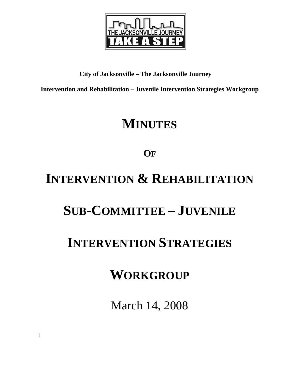

#### **City of Jacksonville – The Jacksonville Journey**

**Intervention and Rehabilitation – Juvenile Intervention Strategies Workgroup** 

## **MINUTES**

### **OF**

# **INTERVENTION & REHABILITATION**

### **SUB-COMMITTEE – JUVENILE**

### **INTERVENTION STRATEGIES**

### **WORKGROUP**

March 14, 2008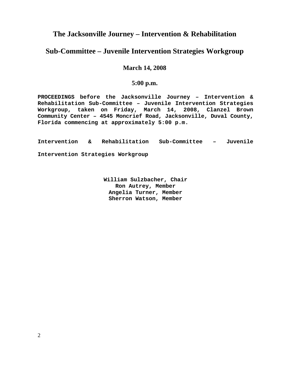#### **The Jacksonville Journey – Intervention & Rehabilitation**

#### **Sub-Committee – Juvenile Intervention Strategies Workgroup**

#### **March 14, 2008**

#### **5:00 p.m.**

**PROCEEDINGS before the Jacksonville Journey – Intervention & Rehabilitation Sub-Committee – Juvenile Intervention Strategies Workgroup, taken on Friday, March 14, 2008, Clanzel Brown Community Center – 4545 Moncrief Road, Jacksonville, Duval County, Florida commencing at approximately 5:00 p.m.** 

**Intervention & Rehabilitation Sub-Committee – Juvenile Intervention Strategies Workgroup** 

> **William Sulzbacher, Chair Ron Autrey, Member Angelia Turner, Member Sherron Watson, Member**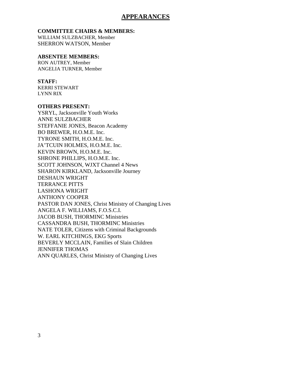#### **APPEARANCES**

#### **COMMITTEE CHAIRS & MEMBERS:**

WILLIAM SULZBACHER, Member SHERRON WATSON, Member

#### **ABSENTEE MEMBERS:**

RON AUTREY, Member ANGELIA TURNER, Member

#### **STAFF:**

KERRI STEWART LYNN RIX

#### **OTHERS PRESENT:**

YSRYL, Jacksonville Youth Works ANNE SULZBACHER STEFFANIE JONES, Beacon Academy BO BREWER, H.O.M.E. Inc. TYRONE SMITH, H.O.M.E. Inc. JA'TCUIN HOLMES, H.O.M.E. Inc. KEVIN BROWN, H.O.M.E. Inc. SHRONE PHILLIPS, H.O.M.E. Inc. SCOTT JOHNSON, WJXT Channel 4 News SHARON KIRKLAND, Jacksonville Journey DESHAUN WRIGHT TERRANCE PITTS LASHONA WRIGHT ANTHONY COOPER PASTOR DAN JONES, Christ Ministry of Changing Lives ANGELA F. WILLIAMS, F.O.S.C.I. JACOB BUSH, THORMINC Ministries CASSANDRA BUSH, THORMINC Ministries NATE TOLER, Citizens with Criminal Backgrounds W. EARL KITCHINGS, EKG Sports BEVERLY MCCLAIN, Families of Slain Children JENNIFER THOMAS ANN QUARLES, Christ Ministry of Changing Lives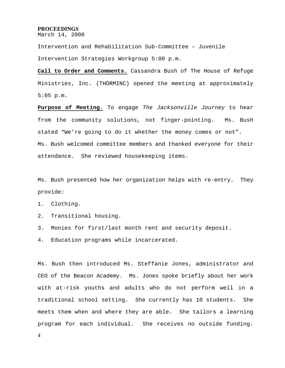#### **PROCEEDINGS**

March 14, 2008

Intervention and Rehabilitation Sub-Committee – Juvenile Intervention Strategies Workgroup 5:00 p.m.

**Call to Order and Comments.** Cassandra Bush of The House of Refuge Ministries, Inc. (THORMINC) opened the meeting at approximately 5:05 p.m.

**Purpose of Meeting.** To engage *The Jacksonville Journey* to hear from the community solutions, not finger-pointing. Ms. Bush stated "We're going to do it whether the money comes or not". Ms. Bush welcomed committee members and thanked everyone for their attendance. She reviewed housekeeping items.

Ms. Bush presented how her organization helps with re-entry. They provide:

1. Clothing.

- 2. Transitional housing.
- 3. Monies for first/last month rent and security deposit.
- 4. Education programs while incarcerated.

Ms. Bush then introduced Ms. Steffanie Jones, administrator and CEO of the Beacon Academy. Ms. Jones spoke briefly about her work with at-risk youths and adults who do not perform well in a traditional school setting. She currently has 10 students. She meets them when and where they are able. She tailors a learning program for each individual. She receives no outside funding.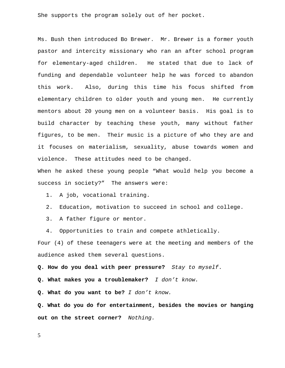She supports the program solely out of her pocket.

Ms. Bush then introduced Bo Brewer. Mr. Brewer is a former youth pastor and intercity missionary who ran an after school program for elementary-aged children. He stated that due to lack of funding and dependable volunteer help he was forced to abandon this work. Also, during this time his focus shifted from elementary children to older youth and young men. He currently mentors about 20 young men on a volunteer basis. His goal is to build character by teaching these youth, many without father figures, to be men. Their music is a picture of who they are and it focuses on materialism, sexuality, abuse towards women and violence. These attitudes need to be changed. When he asked these young people "What would help you become a success in society?" The answers were:

1. A job, vocational training.

2. Education, motivation to succeed in school and college.

3. A father figure or mentor.

4. Opportunities to train and compete athletically.

Four (4) of these teenagers were at the meeting and members of the audience asked them several questions.

**Q. How do you deal with peer pressure?** *Stay to myself*.

**Q. What makes you a troublemaker?** *I don't know.*

**Q. What do you want to be?** *I don't know.*

**Q. What do you do for entertainment, besides the movies or hanging out on the street corner?** *Nothing.*

5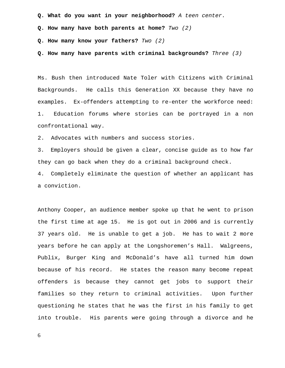**Q. What do you want in your neighborhood?** *A teen center.* 

**Q. How many have both parents at home?** *Two (2)* 

**Q. How many know your fathers?** *Two (2)* 

**Q. How many have parents with criminal backgrounds?** *Three (3)* 

Ms. Bush then introduced Nate Toler with Citizens with Criminal Backgrounds. He calls this Generation XX because they have no examples. Ex-offenders attempting to re-enter the workforce need: 1. Education forums where stories can be portrayed in a non confrontational way.

2. Advocates with numbers and success stories.

3. Employers should be given a clear, concise guide as to how far they can go back when they do a criminal background check.

4. Completely eliminate the question of whether an applicant has a conviction.

Anthony Cooper, an audience member spoke up that he went to prison the first time at age 15. He is got out in 2006 and is currently 37 years old. He is unable to get a job. He has to wait 2 more years before he can apply at the Longshoremen's Hall. Walgreens, Publix, Burger King and McDonald's have all turned him down because of his record. He states the reason many become repeat offenders is because they cannot get jobs to support their families so they return to criminal activities. Upon further questioning he states that he was the first in his family to get into trouble. His parents were going through a divorce and he

6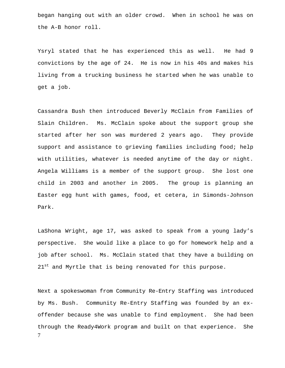began hanging out with an older crowd. When in school he was on the A-B honor roll.

Ysryl stated that he has experienced this as well. He had 9 convictions by the age of 24. He is now in his 40s and makes his living from a trucking business he started when he was unable to get a job.

Cassandra Bush then introduced Beverly McClain from Families of Slain Children. Ms. McClain spoke about the support group she started after her son was murdered 2 years ago. They provide support and assistance to grieving families including food; help with utilities, whatever is needed anytime of the day or night. Angela Williams is a member of the support group. She lost one child in 2003 and another in 2005. The group is planning an Easter egg hunt with games, food, et cetera, in Simonds-Johnson Park.

LaShona Wright, age 17, was asked to speak from a young lady's perspective. She would like a place to go for homework help and a job after school. Ms. McClain stated that they have a building on 21<sup>st</sup> and Myrtle that is being renovated for this purpose.

7 Next a spokeswoman from Community Re-Entry Staffing was introduced by Ms. Bush. Community Re-Entry Staffing was founded by an exoffender because she was unable to find employment. She had been through the Ready4Work program and built on that experience. She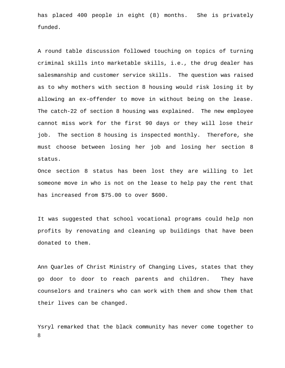has placed 400 people in eight (8) months. She is privately funded.

A round table discussion followed touching on topics of turning criminal skills into marketable skills, i.e., the drug dealer has salesmanship and customer service skills. The question was raised as to why mothers with section 8 housing would risk losing it by allowing an ex-offender to move in without being on the lease. The catch-22 of section 8 housing was explained. The new employee cannot miss work for the first 90 days or they will lose their job. The section 8 housing is inspected monthly. Therefore, she must choose between losing her job and losing her section 8 status.

Once section 8 status has been lost they are willing to let someone move in who is not on the lease to help pay the rent that has increased from \$75.00 to over \$600.

It was suggested that school vocational programs could help non profits by renovating and cleaning up buildings that have been donated to them.

Ann Quarles of Christ Ministry of Changing Lives, states that they go door to door to reach parents and children. They have counselors and trainers who can work with them and show them that their lives can be changed.

8 Ysryl remarked that the black community has never come together to